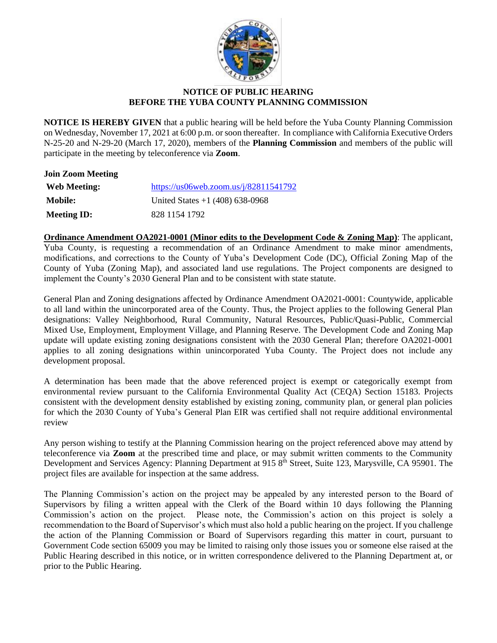

## **NOTICE OF PUBLIC HEARING BEFORE THE YUBA COUNTY PLANNING COMMISSION**

**NOTICE IS HEREBY GIVEN** that a public hearing will be held before the Yuba County Planning Commission on Wednesday, November 17, 2021 at 6:00 p.m. or soon thereafter. In compliance with California Executive Orders N-25-20 and N-29-20 (March 17, 2020), members of the **Planning Commission** and members of the public will participate in the meeting by teleconference via **Zoom**.

| <b>Join Zoom Meeting</b> |                                       |
|--------------------------|---------------------------------------|
| Web Meeting:             | https://us06web.zoom.us/j/82811541792 |
| <b>Mobile:</b>           | United States $+1$ (408) 638-0968     |
| <b>Meeting ID:</b>       | 828 1154 1792                         |

**Ordinance Amendment OA2021-0001 (Minor edits to the Development Code & Zoning Map)**: The applicant, Yuba County, is requesting a recommendation of an Ordinance Amendment to make minor amendments, modifications, and corrections to the County of Yuba's Development Code (DC), Official Zoning Map of the County of Yuba (Zoning Map), and associated land use regulations. The Project components are designed to implement the County's 2030 General Plan and to be consistent with state statute.

General Plan and Zoning designations affected by Ordinance Amendment OA2021-0001: Countywide, applicable to all land within the unincorporated area of the County. Thus, the Project applies to the following General Plan designations: Valley Neighborhood, Rural Community, Natural Resources, Public/Quasi-Public, Commercial Mixed Use, Employment, Employment Village, and Planning Reserve. The Development Code and Zoning Map update will update existing zoning designations consistent with the 2030 General Plan; therefore OA2021-0001 applies to all zoning designations within unincorporated Yuba County. The Project does not include any development proposal.

A determination has been made that the above referenced project is exempt or categorically exempt from environmental review pursuant to the California Environmental Quality Act (CEQA) Section 15183. Projects consistent with the development density established by existing zoning, community plan, or general plan policies for which the 2030 County of Yuba's General Plan EIR was certified shall not require additional environmental review

Any person wishing to testify at the Planning Commission hearing on the project referenced above may attend by teleconference via **Zoom** at the prescribed time and place, or may submit written comments to the Community Development and Services Agency: Planning Department at 915 8<sup>th</sup> Street, Suite 123, Marysville, CA 95901. The project files are available for inspection at the same address.

The Planning Commission's action on the project may be appealed by any interested person to the Board of Supervisors by filing a written appeal with the Clerk of the Board within 10 days following the Planning Commission's action on the project. Please note, the Commission's action on this project is solely a recommendation to the Board of Supervisor's which must also hold a public hearing on the project. If you challenge the action of the Planning Commission or Board of Supervisors regarding this matter in court, pursuant to Government Code section 65009 you may be limited to raising only those issues you or someone else raised at the Public Hearing described in this notice, or in written correspondence delivered to the Planning Department at, or prior to the Public Hearing.